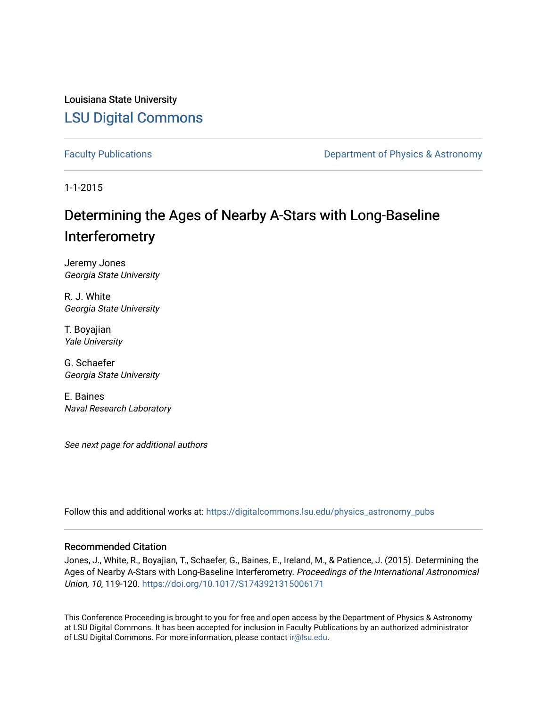Louisiana State University [LSU Digital Commons](https://digitalcommons.lsu.edu/)

[Faculty Publications](https://digitalcommons.lsu.edu/physics_astronomy_pubs) **Exercise 2 and Table 2 and Table 2 and Table 2 and Table 2 and Table 2 and Table 2 and Table 2 and Table 2 and Table 2 and Table 2 and Table 2 and Table 2 and Table 2 and Table 2 and Table 2 and Table** 

1-1-2015

# Determining the Ages of Nearby A-Stars with Long-Baseline Interferometry

Jeremy Jones Georgia State University

R. J. White Georgia State University

T. Boyajian Yale University

G. Schaefer Georgia State University

E. Baines Naval Research Laboratory

See next page for additional authors

Follow this and additional works at: [https://digitalcommons.lsu.edu/physics\\_astronomy\\_pubs](https://digitalcommons.lsu.edu/physics_astronomy_pubs?utm_source=digitalcommons.lsu.edu%2Fphysics_astronomy_pubs%2F432&utm_medium=PDF&utm_campaign=PDFCoverPages) 

#### Recommended Citation

Jones, J., White, R., Boyajian, T., Schaefer, G., Baines, E., Ireland, M., & Patience, J. (2015). Determining the Ages of Nearby A-Stars with Long-Baseline Interferometry. Proceedings of the International Astronomical Union, 10, 119-120.<https://doi.org/10.1017/S1743921315006171>

This Conference Proceeding is brought to you for free and open access by the Department of Physics & Astronomy at LSU Digital Commons. It has been accepted for inclusion in Faculty Publications by an authorized administrator of LSU Digital Commons. For more information, please contact [ir@lsu.edu](mailto:ir@lsu.edu).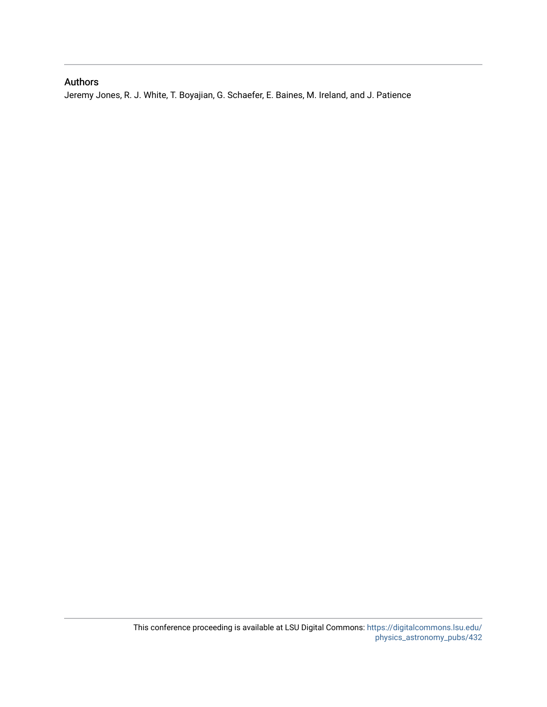### Authors

Jeremy Jones, R. J. White, T. Boyajian, G. Schaefer, E. Baines, M. Ireland, and J. Patience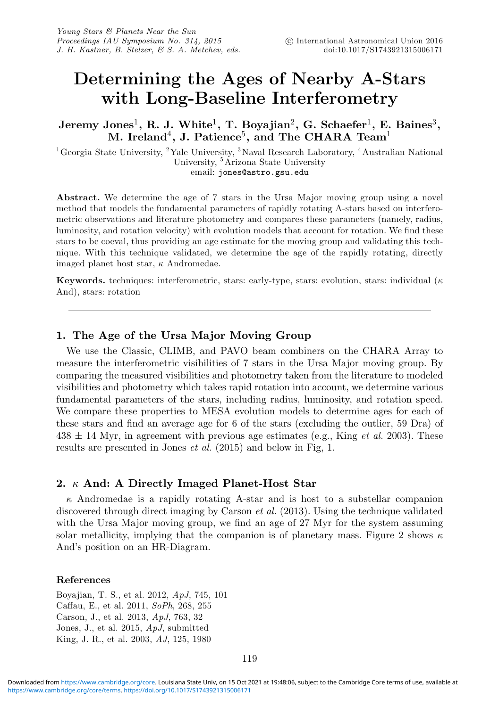## **Determining the Ages of Nearby A-Stars with Long-Baseline Interferometry**

**Jeremy Jones**1**, R. J. White**1**, T. Boyajian**2**, G. Schaefer**1**, E. Baines**3**, M. Ireland**4**, J. Patience**5**, and The CHARA Team**<sup>1</sup>

<sup>1</sup>Georgia State University, <sup>2</sup>Yale University, <sup>3</sup>Naval Research Laboratory, <sup>4</sup>Australian National University, <sup>5</sup>Arizona State University email: jones@astro.gsu.edu

**Abstract.** We determine the age of 7 stars in the Ursa Major moving group using a novel method that models the fundamental parameters of rapidly rotating A-stars based on interferometric observations and literature photometry and compares these parameters (namely, radius, luminosity, and rotation velocity) with evolution models that account for rotation. We find these stars to be coeval, thus providing an age estimate for the moving group and validating this technique. With this technique validated, we determine the age of the rapidly rotating, directly imaged planet host star,  $\kappa$  Andromedae.

**Keywords.** techniques: interferometric, stars: early-type, stars: evolution, stars: individual ( $\kappa$ And), stars: rotation

#### **1. The Age of the Ursa Major Moving Group**

We use the Classic, CLIMB, and PAVO beam combiners on the CHARA Array to measure the interferometric visibilities of 7 stars in the Ursa Major moving group. By comparing the measured visibilities and photometry taken from the literature to modeled visibilities and photometry which takes rapid rotation into account, we determine various fundamental parameters of the stars, including radius, luminosity, and rotation speed. We compare these properties to MESA evolution models to determine ages for each of these stars and find an average age for 6 of the stars (excluding the outlier, 59 Dra) of  $438 \pm 14$  Myr, in agreement with previous age estimates (e.g., King *et al.* 2003). These results are presented in Jones et al. (2015) and below in Fig, 1.

#### **2.** κ **And: A Directly Imaged Planet-Host Star**

 $\kappa$  Andromedae is a rapidly rotating A-star and is host to a substellar companion discovered through direct imaging by Carson *et al.* (2013). Using the technique validated with the Ursa Major moving group, we find an age of 27 Myr for the system assuming solar metallicity, implying that the companion is of planetary mass. Figure 2 shows  $\kappa$ And's position on an HR-Diagram.

#### **References**

Boyajian, T. S., et al. 2012, ApJ, 745, 101 Caffau, E., et al. 2011, SoPh, 268, 255 Carson, J., et al. 2013, ApJ, 763, 32 Jones, J., et al. 2015, ApJ, submitted King, J. R., et al. 2003, AJ, 125, 1980